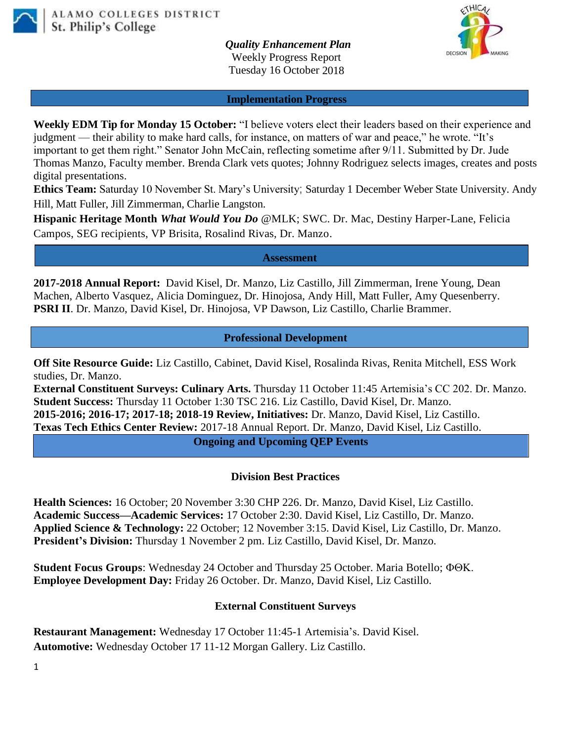

 *Quality Enhancement Plan* Weekly Progress Report Tuesday 16 October 2018

**Implementation Progress**

**Weekly EDM Tip for Monday 15 October:** "I believe voters elect their leaders based on their experience and judgment — their ability to make hard calls, for instance, on matters of war and peace," he wrote. "It's important to get them right." Senator John McCain, reflecting sometime after 9/11. Submitted by Dr. Jude Thomas Manzo, Faculty member. Brenda Clark vets quotes; Johnny Rodriguez selects images, creates and posts digital presentations.

**Ethics Team:** Saturday 10 November St. Mary's University; Saturday 1 December Weber State University. Andy Hill, Matt Fuller, Jill Zimmerman, Charlie Langston.

**Hispanic Heritage Month** *What Would You Do* @MLK; SWC. Dr. Mac, Destiny Harper-Lane, Felicia Campos, SEG recipients, VP Brisita, Rosalind Rivas, Dr. Manzo.

**Assessment**

**2017-2018 Annual Report:** David Kisel, Dr. Manzo, Liz Castillo, Jill Zimmerman, Irene Young, Dean Machen, Alberto Vasquez, Alicia Dominguez, Dr. Hinojosa, Andy Hill, Matt Fuller, Amy Quesenberry. **PSRI II**. Dr. Manzo, David Kisel, Dr. Hinojosa, VP Dawson, Liz Castillo, Charlie Brammer.

## **Professional Development**

**Off Site Resource Guide:** Liz Castillo, Cabinet, David Kisel, Rosalinda Rivas, Renita Mitchell, ESS Work studies, Dr. Manzo.

**External Constituent Surveys: Culinary Arts.** Thursday 11 October 11:45 Artemisia's CC 202. Dr. Manzo. **Student Success:** Thursday 11 October 1:30 TSC 216. Liz Castillo, David Kisel, Dr. Manzo. **2015-2016; 2016-17; 2017-18; 2018-19 Review, Initiatives:** Dr. Manzo, David Kisel, Liz Castillo. **Texas Tech Ethics Center Review:** 2017-18 Annual Report. Dr. Manzo, David Kisel, Liz Castillo.

**Ongoing and Upcoming QEP Events**

## **Division Best Practices**

**Health Sciences:** 16 October; 20 November 3:30 CHP 226. Dr. Manzo, David Kisel, Liz Castillo. **Academic Success—Academic Services:** 17 October 2:30. David Kisel, Liz Castillo, Dr. Manzo. **Applied Science & Technology:** 22 October; 12 November 3:15. David Kisel, Liz Castillo, Dr. Manzo. **President's Division:** Thursday 1 November 2 pm. Liz Castillo, David Kisel, Dr. Manzo.

**Student Focus Groups**: Wednesday 24 October and Thursday 25 October. Maria Botello; **Employee Development Day:** Friday 26 October. Dr. Manzo, David Kisel, Liz Castillo.

## **External Constituent Surveys**

**Restaurant Management:** Wednesday 17 October 11:45-1 Artemisia's. David Kisel. **Automotive:** Wednesday October 17 11-12 Morgan Gallery. Liz Castillo.